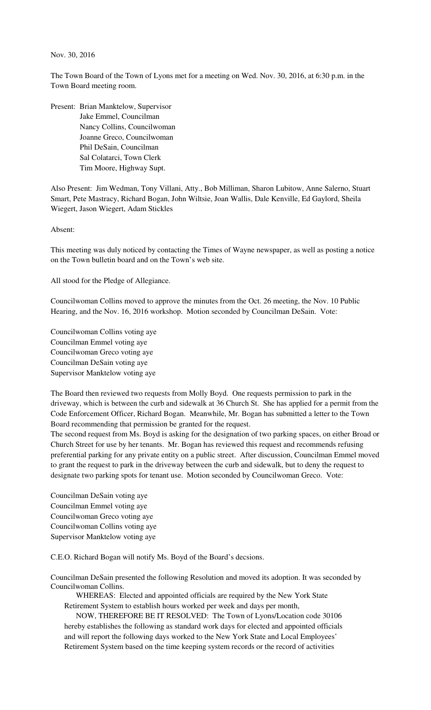## Nov. 30, 2016

The Town Board of the Town of Lyons met for a meeting on Wed. Nov. 30, 2016, at 6:30 p.m. in the Town Board meeting room.

Present: Brian Manktelow, Supervisor Jake Emmel, Councilman Nancy Collins, Councilwoman Joanne Greco, Councilwoman Phil DeSain, Councilman Sal Colatarci, Town Clerk Tim Moore, Highway Supt.

Also Present: Jim Wedman, Tony Villani, Atty., Bob Milliman, Sharon Lubitow, Anne Salerno, Stuart Smart, Pete Mastracy, Richard Bogan, John Wiltsie, Joan Wallis, Dale Kenville, Ed Gaylord, Sheila Wiegert, Jason Wiegert, Adam Stickles

Absent:

This meeting was duly noticed by contacting the Times of Wayne newspaper, as well as posting a notice on the Town bulletin board and on the Town's web site.

All stood for the Pledge of Allegiance.

Councilwoman Collins moved to approve the minutes from the Oct. 26 meeting, the Nov. 10 Public Hearing, and the Nov. 16, 2016 workshop. Motion seconded by Councilman DeSain. Vote:

Councilwoman Collins voting aye Councilman Emmel voting aye Councilwoman Greco voting aye Councilman DeSain voting aye Supervisor Manktelow voting aye

The Board then reviewed two requests from Molly Boyd. One requests permission to park in the driveway, which is between the curb and sidewalk at 36 Church St. She has applied for a permit from the Code Enforcement Officer, Richard Bogan. Meanwhile, Mr. Bogan has submitted a letter to the Town Board recommending that permission be granted for the request.

The second request from Ms. Boyd is asking for the designation of two parking spaces, on either Broad or Church Street for use by her tenants. Mr. Bogan has reviewed this request and recommends refusing preferential parking for any private entity on a public street. After discussion, Councilman Emmel moved to grant the request to park in the driveway between the curb and sidewalk, but to deny the request to designate two parking spots for tenant use. Motion seconded by Councilwoman Greco. Vote:

Councilman DeSain voting aye Councilman Emmel voting aye Councilwoman Greco voting aye Councilwoman Collins voting aye Supervisor Manktelow voting aye

C.E.O. Richard Bogan will notify Ms. Boyd of the Board's decsions.

Councilman DeSain presented the following Resolution and moved its adoption. It was seconded by Councilwoman Collins.

 WHEREAS: Elected and appointed officials are required by the New York State Retirement System to establish hours worked per week and days per month,

 NOW, THEREFORE BE IT RESOLVED: The Town of Lyons/Location code 30106 hereby establishes the following as standard work days for elected and appointed officials and will report the following days worked to the New York State and Local Employees' Retirement System based on the time keeping system records or the record of activities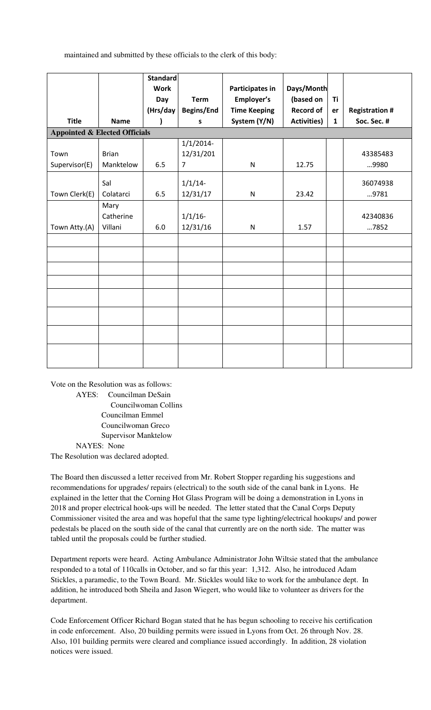maintained and submitted by these officials to the clerk of this body:

|                                          |              | <b>Standard</b><br><b>Work</b> |                | <b>Participates in</b> | Days/Month         |              |                       |
|------------------------------------------|--------------|--------------------------------|----------------|------------------------|--------------------|--------------|-----------------------|
|                                          |              | Day                            | <b>Term</b>    | Employer's             | (based on          | Ti           |                       |
|                                          |              | (Hrs/day                       | Begins/End     | <b>Time Keeping</b>    | <b>Record of</b>   | er           | <b>Registration #</b> |
| <b>Title</b>                             | <b>Name</b>  |                                | S              | System (Y/N)           | <b>Activities)</b> | $\mathbf{1}$ | Soc. Sec. #           |
| <b>Appointed &amp; Elected Officials</b> |              |                                |                |                        |                    |              |                       |
|                                          |              |                                | $1/1/2014$ -   |                        |                    |              |                       |
| Town                                     | <b>Brian</b> |                                | 12/31/201      |                        |                    |              | 43385483              |
| Supervisor(E)                            | Manktelow    | 6.5                            | $\overline{7}$ | ${\sf N}$              | 12.75              |              | 9980                  |
|                                          | Sal          |                                | $1/1/14$ -     |                        |                    |              | 36074938              |
| Town Clerk(E)                            | Colatarci    | 6.5                            | 12/31/17       | ${\sf N}$              | 23.42              |              | 9781                  |
|                                          | Mary         |                                |                |                        |                    |              |                       |
|                                          | Catherine    |                                | $1/1/16$ -     |                        |                    |              | 42340836              |
| Town Atty.(A)                            | Villani      | 6.0                            | 12/31/16       | ${\sf N}$              | 1.57               |              | 7852                  |
|                                          |              |                                |                |                        |                    |              |                       |
|                                          |              |                                |                |                        |                    |              |                       |
|                                          |              |                                |                |                        |                    |              |                       |
|                                          |              |                                |                |                        |                    |              |                       |
|                                          |              |                                |                |                        |                    |              |                       |
|                                          |              |                                |                |                        |                    |              |                       |
|                                          |              |                                |                |                        |                    |              |                       |
|                                          |              |                                |                |                        |                    |              |                       |

Vote on the Resolution was as follows: AYES: Councilman DeSain Councilwoman Collins Councilman Emmel Councilwoman Greco Supervisor Manktelow NAYES: None The Resolution was declared adopted.

The Board then discussed a letter received from Mr. Robert Stopper regarding his suggestions and recommendations for upgrades/ repairs (electrical) to the south side of the canal bank in Lyons. He explained in the letter that the Corning Hot Glass Program will be doing a demonstration in Lyons in 2018 and proper electrical hook-ups will be needed. The letter stated that the Canal Corps Deputy Commissioner visited the area and was hopeful that the same type lighting/electrical hookups/ and power pedestals be placed on the south side of the canal that currently are on the north side. The matter was tabled until the proposals could be further studied.

Department reports were heard. Acting Ambulance Administrator John Wiltsie stated that the ambulance responded to a total of 110calls in October, and so far this year: 1,312. Also, he introduced Adam Stickles, a paramedic, to the Town Board. Mr. Stickles would like to work for the ambulance dept. In addition, he introduced both Sheila and Jason Wiegert, who would like to volunteer as drivers for the department.

Code Enforcement Officer Richard Bogan stated that he has begun schooling to receive his certification in code enforcement. Also, 20 building permits were issued in Lyons from Oct. 26 through Nov. 28. Also, 101 building permits were cleared and compliance issued accordingly. In addition, 28 violation notices were issued.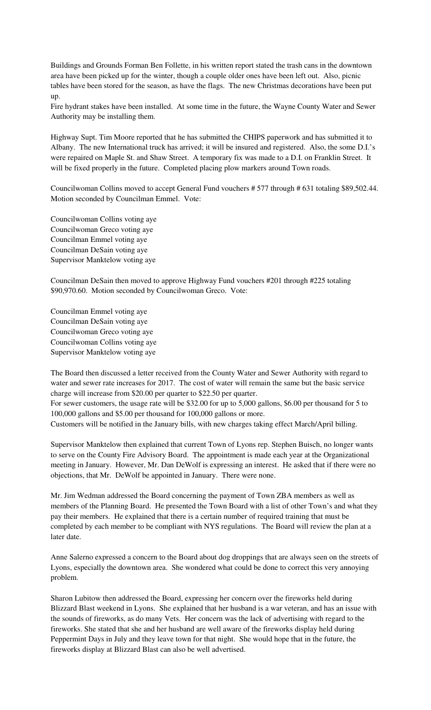Buildings and Grounds Forman Ben Follette, in his written report stated the trash cans in the downtown area have been picked up for the winter, though a couple older ones have been left out. Also, picnic tables have been stored for the season, as have the flags. The new Christmas decorations have been put up.

Fire hydrant stakes have been installed. At some time in the future, the Wayne County Water and Sewer Authority may be installing them.

Highway Supt. Tim Moore reported that he has submitted the CHIPS paperwork and has submitted it to Albany. The new International truck has arrived; it will be insured and registered. Also, the some D.I.'s were repaired on Maple St. and Shaw Street. A temporary fix was made to a D.I. on Franklin Street. It will be fixed properly in the future. Completed placing plow markers around Town roads.

Councilwoman Collins moved to accept General Fund vouchers # 577 through # 631 totaling \$89,502.44. Motion seconded by Councilman Emmel. Vote:

Councilwoman Collins voting aye Councilwoman Greco voting aye Councilman Emmel voting aye Councilman DeSain voting aye Supervisor Manktelow voting aye

Councilman DeSain then moved to approve Highway Fund vouchers #201 through #225 totaling \$90,970.60. Motion seconded by Councilwoman Greco. Vote:

Councilman Emmel voting aye Councilman DeSain voting aye Councilwoman Greco voting aye Councilwoman Collins voting aye Supervisor Manktelow voting aye

The Board then discussed a letter received from the County Water and Sewer Authority with regard to water and sewer rate increases for 2017. The cost of water will remain the same but the basic service charge will increase from \$20.00 per quarter to \$22.50 per quarter.

For sewer customers, the usage rate will be \$32.00 for up to 5,000 gallons, \$6.00 per thousand for 5 to 100,000 gallons and \$5.00 per thousand for 100,000 gallons or more.

Customers will be notified in the January bills, with new charges taking effect March/April billing.

Supervisor Manktelow then explained that current Town of Lyons rep. Stephen Buisch, no longer wants to serve on the County Fire Advisory Board. The appointment is made each year at the Organizational meeting in January. However, Mr. Dan DeWolf is expressing an interest. He asked that if there were no objections, that Mr. DeWolf be appointed in January. There were none.

Mr. Jim Wedman addressed the Board concerning the payment of Town ZBA members as well as members of the Planning Board. He presented the Town Board with a list of other Town's and what they pay their members. He explained that there is a certain number of required training that must be completed by each member to be compliant with NYS regulations. The Board will review the plan at a later date.

Anne Salerno expressed a concern to the Board about dog droppings that are always seen on the streets of Lyons, especially the downtown area. She wondered what could be done to correct this very annoying problem.

Sharon Lubitow then addressed the Board, expressing her concern over the fireworks held during Blizzard Blast weekend in Lyons. She explained that her husband is a war veteran, and has an issue with the sounds of fireworks, as do many Vets. Her concern was the lack of advertising with regard to the fireworks. She stated that she and her husband are well aware of the fireworks display held during Peppermint Days in July and they leave town for that night. She would hope that in the future, the fireworks display at Blizzard Blast can also be well advertised.